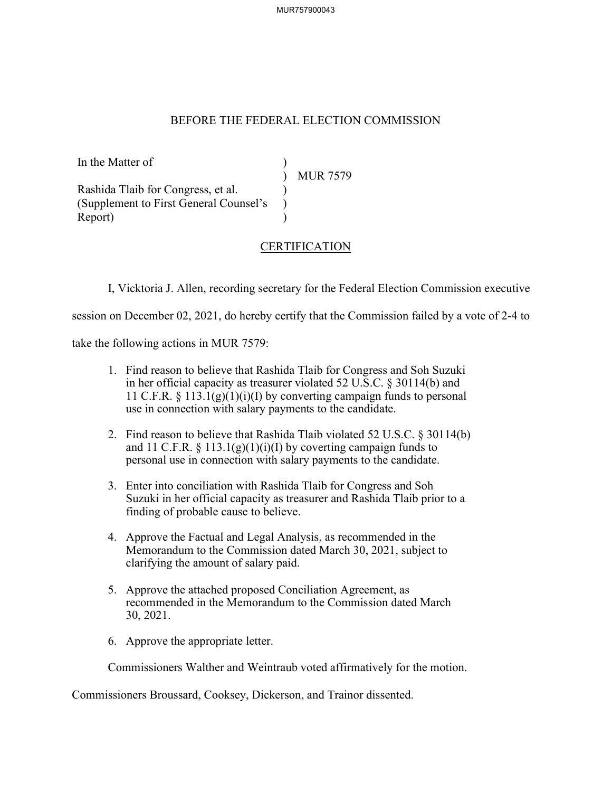MUR757900043

## BEFORE THE FEDERAL ELECTION COMMISSION

In the Matter of ) ) MUR 7579 Rashida Tlaib for Congress, et al. ) (Supplement to First General Counsel's ) Report)

## **CERTIFICATION**

I, Vicktoria J. Allen, recording secretary for the Federal Election Commission executive

session on December 02, 2021, do hereby certify that the Commission failed by a vote of 2-4 to

take the following actions in MUR 7579:

- 1. Find reason to believe that Rashida Tlaib for Congress and Soh Suzuki in her official capacity as treasurer violated 52 U.S.C. § 30114(b) and 11 C.F.R.  $\S$  113.1(g)(1)(i)(I) by converting campaign funds to personal use in connection with salary payments to the candidate.
- 2. Find reason to believe that Rashida Tlaib violated 52 U.S.C. § 30114(b) and 11 C.F.R.  $\S$  113.1(g)(1)(i)(I) by coverting campaign funds to personal use in connection with salary payments to the candidate.
- 3. Enter into conciliation with Rashida Tlaib for Congress and Soh Suzuki in her official capacity as treasurer and Rashida Tlaib prior to a finding of probable cause to believe.
- 4. Approve the Factual and Legal Analysis, as recommended in the Memorandum to the Commission dated March 30, 2021, subject to clarifying the amount of salary paid.
- 5. Approve the attached proposed Conciliation Agreement, as recommended in the Memorandum to the Commission dated March 30, 2021.
- 6. Approve the appropriate letter.

Commissioners Walther and Weintraub voted affirmatively for the motion.

Commissioners Broussard, Cooksey, Dickerson, and Trainor dissented.